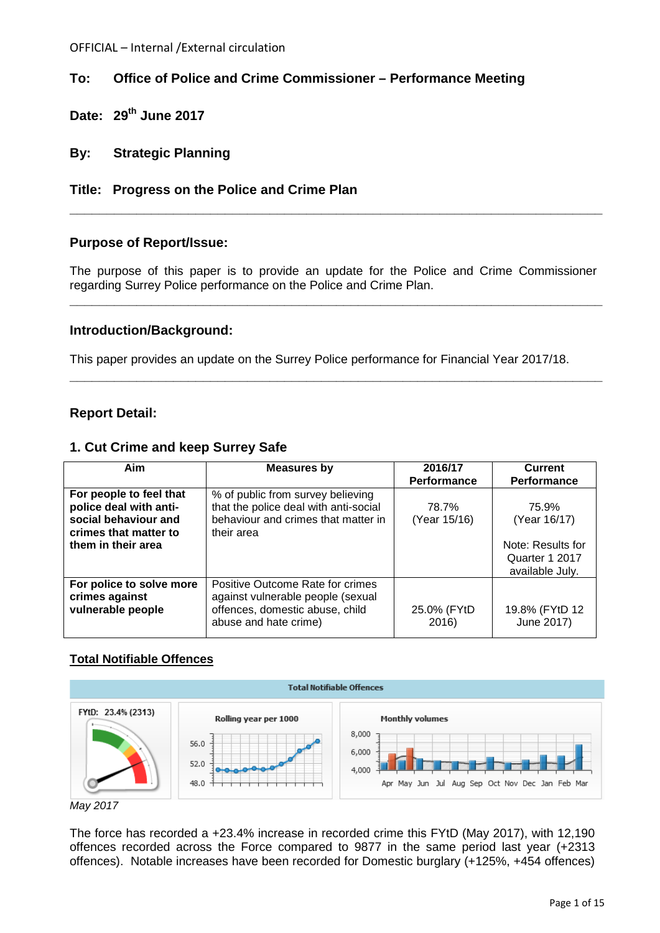# **To: Office of Police and Crime Commissioner – Performance Meeting**

- **Date: 29th June 2017**
- **By: Strategic Planning**
- **Title: Progress on the Police and Crime Plan**

# **Purpose of Report/Issue:**

The purpose of this paper is to provide an update for the Police and Crime Commissioner regarding Surrey Police performance on the Police and Crime Plan.

**\_\_\_\_\_\_\_\_\_\_\_\_\_\_\_\_\_\_\_\_\_\_\_\_\_\_\_\_\_\_\_\_\_\_\_\_\_\_\_\_\_\_\_\_\_\_\_\_\_\_\_\_\_\_\_\_\_\_\_\_\_\_\_\_\_\_\_\_\_\_\_\_**

**\_\_\_\_\_\_\_\_\_\_\_\_\_\_\_\_\_\_\_\_\_\_\_\_\_\_\_\_\_\_\_\_\_\_\_\_\_\_\_\_\_\_\_\_\_\_\_\_\_\_\_\_\_\_\_\_\_\_\_\_\_\_\_\_\_\_\_\_\_\_\_\_**

**\_\_\_\_\_\_\_\_\_\_\_\_\_\_\_\_\_\_\_\_\_\_\_\_\_\_\_\_\_\_\_\_\_\_\_\_\_\_\_\_\_\_\_\_\_\_\_\_\_\_\_\_\_\_\_\_\_\_\_\_\_\_\_\_\_\_\_\_\_\_\_\_**

# **Introduction/Background:**

This paper provides an update on the Surrey Police performance for Financial Year 2017/18.

# **Report Detail:**

# **1. Cut Crime and keep Surrey Safe**

| Aim                                                                                                                      | <b>Measures by</b>                                                                                                                | 2016/17<br>Performance | Current<br>Performance                                                          |
|--------------------------------------------------------------------------------------------------------------------------|-----------------------------------------------------------------------------------------------------------------------------------|------------------------|---------------------------------------------------------------------------------|
| For people to feel that<br>police deal with anti-<br>social behaviour and<br>crimes that matter to<br>them in their area | % of public from survey believing<br>that the police deal with anti-social<br>behaviour and crimes that matter in<br>their area   | 78.7%<br>(Year 15/16)  | 75.9%<br>(Year 16/17)<br>Note: Results for<br>Quarter 1 2017<br>available July. |
| For police to solve more<br>crimes against<br>vulnerable people                                                          | Positive Outcome Rate for crimes<br>against vulnerable people (sexual<br>offences, domestic abuse, child<br>abuse and hate crime) | 25.0% (FYtD<br>2016)   | 19.8% (FYtD 12<br>June 2017)                                                    |

# **Total Notifiable Offences**



*May 2017*

The force has recorded a +23.4% increase in recorded crime this FYtD (May 2017), with 12,190 offences recorded across the Force compared to 9877 in the same period last year (+2313 offences). Notable increases have been recorded for Domestic burglary (+125%, +454 offences)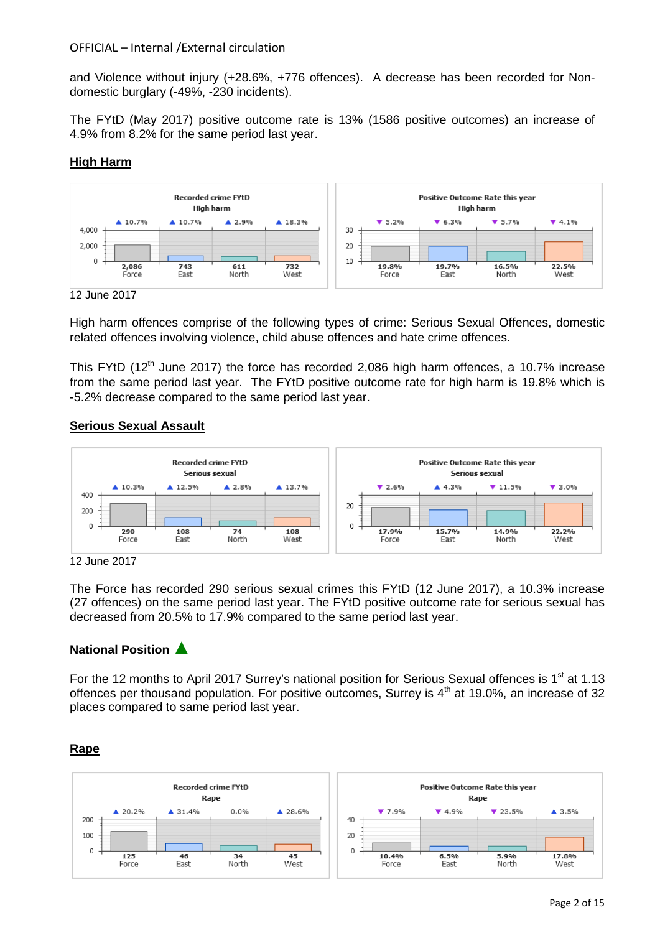and Violence without injury (+28.6%, +776 offences). A decrease has been recorded for Nondomestic burglary (-49%, -230 incidents).

The FYtD (May 2017) positive outcome rate is 13% (1586 positive outcomes) an increase of 4.9% from 8.2% for the same period last year.

# **High Harm**



12 June 2017

High harm offences comprise of the following types of crime: Serious Sexual Offences, domestic related offences involving violence, child abuse offences and hate crime offences.

This FYtD (12<sup>th</sup> June 2017) the force has recorded 2,086 high harm offences, a 10.7% increase from the same period last year. The FYtD positive outcome rate for high harm is 19.8% which is -5.2% decrease compared to the same period last year.

#### **Serious Sexual Assault**



12 June 2017

The Force has recorded 290 serious sexual crimes this FYtD (12 June 2017), a 10.3% increase (27 offences) on the same period last year. The FYtD positive outcome rate for serious sexual has decreased from 20.5% to 17.9% compared to the same period last year.

# **National Position** ▲

For the 12 months to April 2017 Surrey's national position for Serious Sexual offences is 1<sup>st</sup> at 1.13 offences per thousand population. For positive outcomes, Surrey is  $4<sup>th</sup>$  at 19.0%, an increase of 32 places compared to same period last year.

#### **Rape**

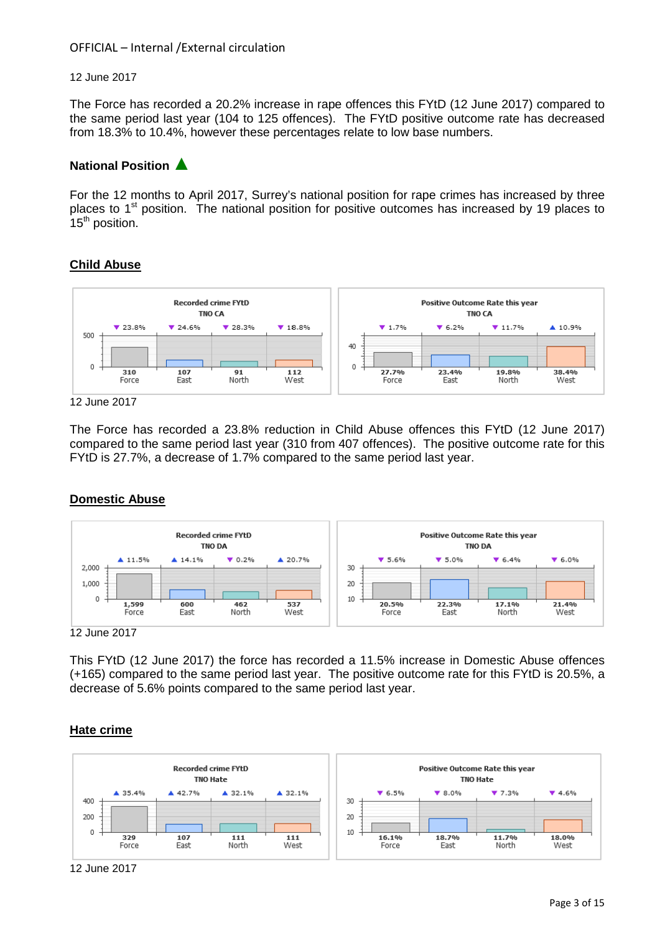#### 12 June 2017

The Force has recorded a 20.2% increase in rape offences this FYtD (12 June 2017) compared to the same period last year (104 to 125 offences). The FYtD positive outcome rate has decreased from 18.3% to 10.4%, however these percentages relate to low base numbers.

# **National Position** ▲

For the 12 months to April 2017, Surrey's national position for rape crimes has increased by three places to  $1<sup>st</sup>$  position. The national position for positive outcomes has increased by 19 places to 15<sup>th</sup> position.

# **Child Abuse**



#### 12 June 2017

The Force has recorded a 23.8% reduction in Child Abuse offences this FYtD (12 June 2017) compared to the same period last year (310 from 407 offences). The positive outcome rate for this FYtD is 27.7%, a decrease of 1.7% compared to the same period last year.

# **Domestic Abuse**



12 June 2017

This FYtD (12 June 2017) the force has recorded a 11.5% increase in Domestic Abuse offences (+165) compared to the same period last year. The positive outcome rate for this FYtD is 20.5%, a decrease of 5.6% points compared to the same period last year.

#### **Hate crime**



<sup>12</sup> June 2017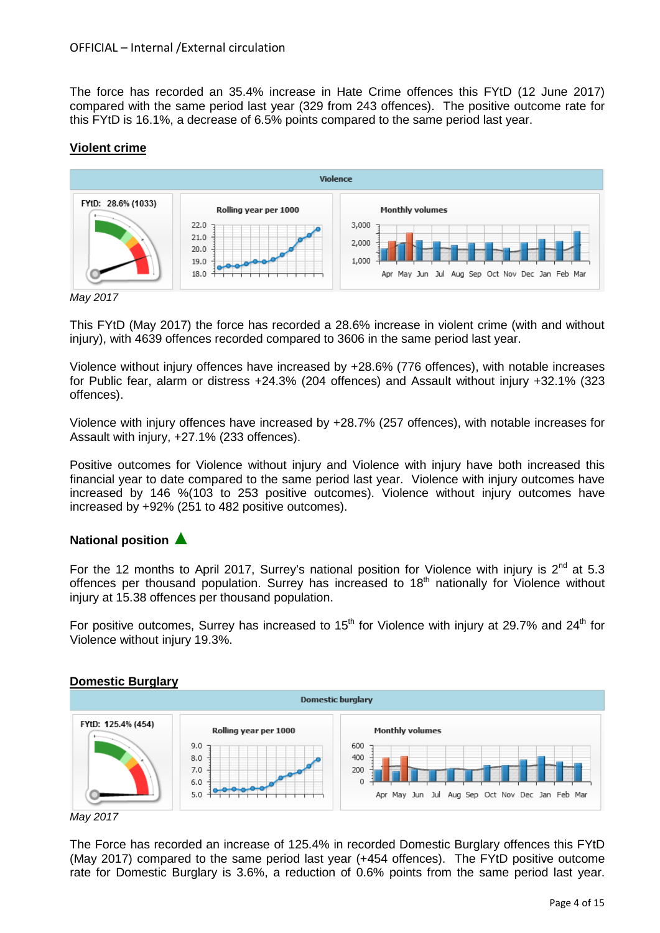The force has recorded an 35.4% increase in Hate Crime offences this FYtD (12 June 2017) compared with the same period last year (329 from 243 offences). The positive outcome rate for this FYtD is 16.1%, a decrease of 6.5% points compared to the same period last year.

# **Violent crime**



*May 2017*

This FYtD (May 2017) the force has recorded a 28.6% increase in violent crime (with and without injury), with 4639 offences recorded compared to 3606 in the same period last year.

Violence without injury offences have increased by +28.6% (776 offences), with notable increases for Public fear, alarm or distress +24.3% (204 offences) and Assault without injury +32.1% (323 offences).

Violence with injury offences have increased by +28.7% (257 offences), with notable increases for Assault with injury, +27.1% (233 offences).

Positive outcomes for Violence without injury and Violence with injury have both increased this financial year to date compared to the same period last year. Violence with injury outcomes have increased by 146 %(103 to 253 positive outcomes). Violence without injury outcomes have increased by +92% (251 to 482 positive outcomes).

# **National position** ▲

For the 12 months to April 2017, Surrey's national position for Violence with injury is  $2^{nd}$  at 5.3 offences per thousand population. Surrey has increased to 18<sup>th</sup> nationally for Violence without injury at 15.38 offences per thousand population.

For positive outcomes, Surrey has increased to  $15<sup>th</sup>$  for Violence with injury at 29.7% and 24<sup>th</sup> for Violence without injury 19.3%.

# **Domestic Burglary**



*May 2017*

The Force has recorded an increase of 125.4% in recorded Domestic Burglary offences this FYtD (May 2017) compared to the same period last year (+454 offences). The FYtD positive outcome rate for Domestic Burglary is 3.6%, a reduction of 0.6% points from the same period last year.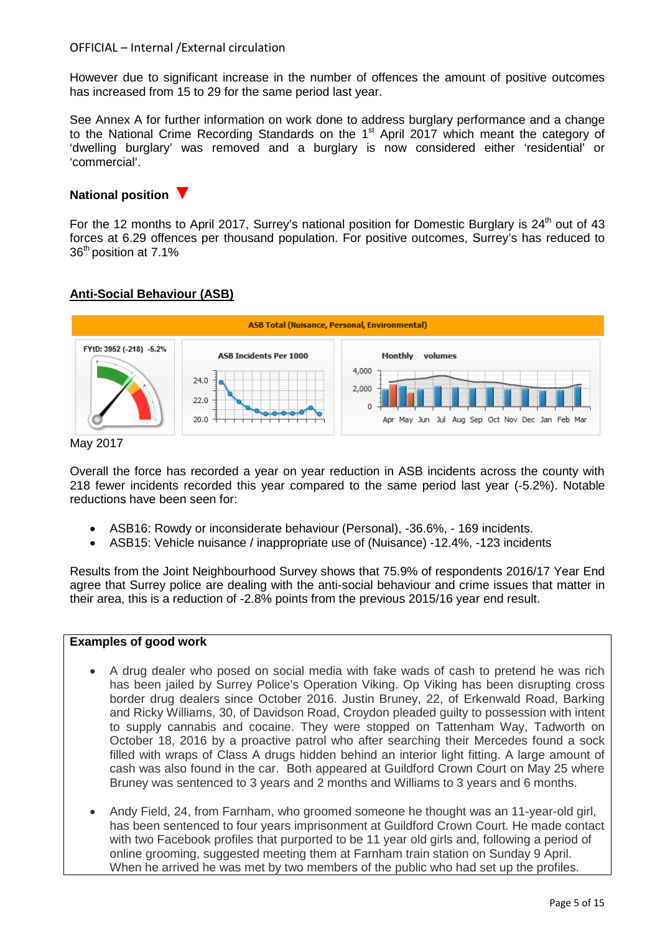However due to significant increase in the number of offences the amount of positive outcomes has increased from 15 to 29 for the same period last year.

See Annex A for further information on work done to address burglary performance and a change to the National Crime Recording Standards on the 1<sup>st</sup> April 2017 which meant the category of 'dwelling burglary' was removed and a burglary is now considered either 'residential' or 'commercial'.

### **National position** ▼

For the 12 months to April 2017, Surrey's national position for Domestic Burglary is  $24<sup>th</sup>$  out of 43 forces at 6.29 offences per thousand population. For positive outcomes, Surrey's has reduced to 36th position at 7.1%

# **Anti-Social Behaviour (ASB)**



#### May 2017

Overall the force has recorded a year on year reduction in ASB incidents across the county with 218 fewer incidents recorded this year compared to the same period last year (-5.2%). Notable reductions have been seen for:

- ASB16: Rowdy or inconsiderate behaviour (Personal), -36.6%, 169 incidents.
- ASB15: Vehicle nuisance / inappropriate use of (Nuisance) -12.4%, -123 incidents

Results from the Joint Neighbourhood Survey shows that 75.9% of respondents 2016/17 Year End agree that Surrey police are dealing with the anti-social behaviour and crime issues that matter in their area, this is a reduction of -2.8% points from the previous 2015/16 year end result.

#### **Examples of good work**

- A drug dealer who posed on social media with fake wads of cash to pretend he was rich has been jailed by Surrey Police's Operation Viking. Op Viking has been disrupting cross border drug dealers since October 2016. Justin Bruney, 22, of Erkenwald Road, Barking and Ricky Williams, 30, of Davidson Road, Croydon pleaded guilty to possession with intent to supply cannabis and cocaine. They were stopped on Tattenham Way, Tadworth on October 18, 2016 by a proactive patrol who after searching their Mercedes found a sock filled with wraps of Class A drugs hidden behind an interior light fitting. A large amount of cash was also found in the car. Both appeared at Guildford Crown Court on May 25 where Bruney was sentenced to 3 years and 2 months and Williams to 3 years and 6 months.
- Andy Field, 24, from Farnham, who groomed someone he thought was an 11-year-old girl, has been sentenced to four years imprisonment at Guildford Crown Court. He made contact with two Facebook profiles that purported to be 11 year old girls and, following a period of online grooming, suggested meeting them at Farnham train station on Sunday 9 April. When he arrived he was met by two members of the public who had set up the profiles.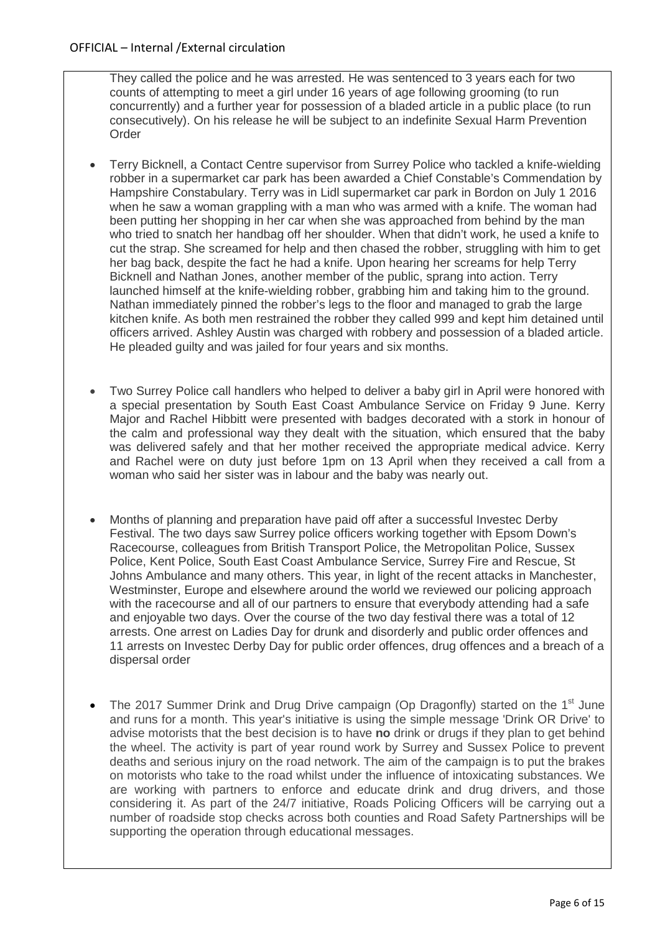They called the police and he was arrested. He was sentenced to 3 years each for two counts of attempting to meet a girl under 16 years of age following grooming (to run concurrently) and a further year for possession of a bladed article in a public place (to run consecutively). On his release he will be subject to an indefinite Sexual Harm Prevention Order

- Terry Bicknell, a Contact Centre supervisor from Surrey Police who tackled a knife-wielding robber in a supermarket car park has been awarded a Chief Constable's Commendation by Hampshire Constabulary. Terry was in Lidl supermarket car park in Bordon on July 1 2016 when he saw a woman grappling with a man who was armed with a knife. The woman had been putting her shopping in her car when she was approached from behind by the man who tried to snatch her handbag off her shoulder. When that didn't work, he used a knife to cut the strap. She screamed for help and then chased the robber, struggling with him to get her bag back, despite the fact he had a knife. Upon hearing her screams for help Terry Bicknell and Nathan Jones, another member of the public, sprang into action. Terry launched himself at the knife-wielding robber, grabbing him and taking him to the ground. Nathan immediately pinned the robber's legs to the floor and managed to grab the large kitchen knife. As both men restrained the robber they called 999 and kept him detained until officers arrived. Ashley Austin was charged with robbery and possession of a bladed article. He pleaded guilty and was jailed for four years and six months.
- Two Surrey Police call handlers who helped to deliver a baby girl in April were honored with a special presentation by South East Coast Ambulance Service on Friday 9 June. Kerry Major and Rachel Hibbitt were presented with badges decorated with a stork in honour of the calm and professional way they dealt with the situation, which ensured that the baby was delivered safely and that her mother received the appropriate medical advice. Kerry and Rachel were on duty just before 1pm on 13 April when they received a call from a woman who said her sister was in labour and the baby was nearly out.
- Months of planning and preparation have paid off after a successful Investec Derby Festival. The two days saw Surrey police officers working together with Epsom Down's Racecourse, colleagues from British Transport Police, the Metropolitan Police, Sussex Police, Kent Police, South East Coast Ambulance Service, Surrey Fire and Rescue, St Johns Ambulance and many others. This year, in light of the recent attacks in Manchester, Westminster, Europe and elsewhere around the world we reviewed our policing approach with the racecourse and all of our partners to ensure that everybody attending had a safe and enjoyable two days. Over the course of the two day festival there was a total of 12 arrests. One arrest on Ladies Day for drunk and disorderly and public order offences and 11 arrests on Investec Derby Day for public order offences, drug offences and a breach of a dispersal order
- The 2017 Summer Drink and Drug Drive campaign (Op Dragonfly) started on the 1<sup>st</sup> June and runs for a month. This year's initiative is using the simple message 'Drink OR Drive' to advise motorists that the best decision is to have **no** drink or drugs if they plan to get behind the wheel. The activity is part of year round work by Surrey and Sussex Police to prevent deaths and serious injury on the road network. The aim of the campaign is to put the brakes on motorists who take to the road whilst under the influence of intoxicating substances. We are working with partners to enforce and educate drink and drug drivers, and those considering it. As part of the 24/7 initiative, Roads Policing Officers will be carrying out a number of roadside stop checks across both counties and Road Safety Partnerships will be supporting the operation through educational messages.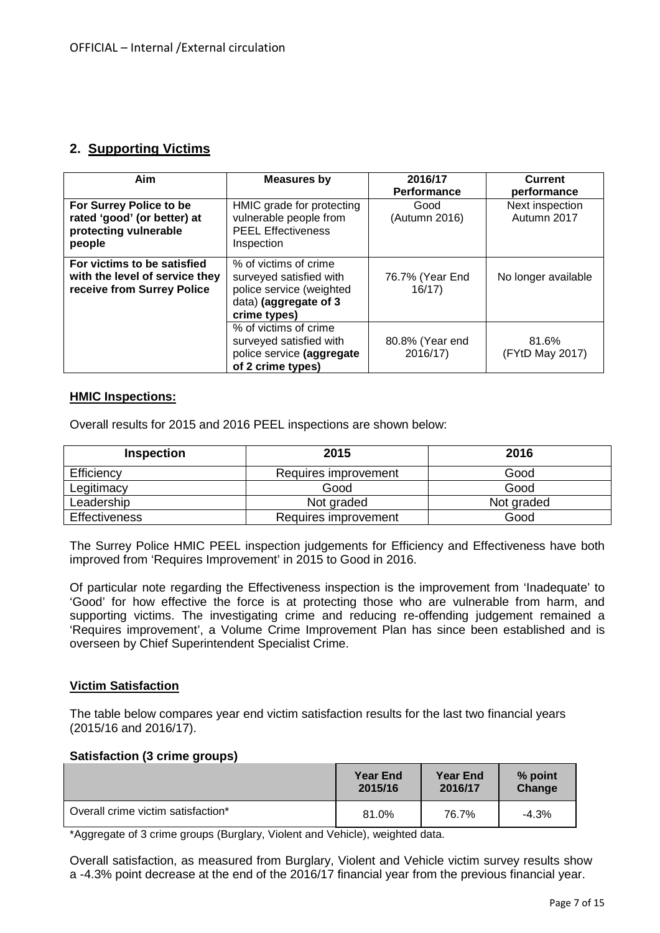# **2. Supporting Victims**

| Aim                                                                                         | <b>Measures by</b>                                                                                                    | 2016/17<br>Performance      | <b>Current</b><br>performance  |
|---------------------------------------------------------------------------------------------|-----------------------------------------------------------------------------------------------------------------------|-----------------------------|--------------------------------|
| For Surrey Police to be<br>rated 'good' (or better) at<br>protecting vulnerable<br>people   | HMIC grade for protecting<br>vulnerable people from<br><b>PEEL Effectiveness</b><br>Inspection                        | Good<br>(Autumn 2016)       | Next inspection<br>Autumn 2017 |
| For victims to be satisfied<br>with the level of service they<br>receive from Surrey Police | % of victims of crime<br>surveyed satisfied with<br>police service (weighted<br>data) (aggregate of 3<br>crime types) | 76.7% (Year End<br>16/17    | No longer available            |
|                                                                                             | % of victims of crime<br>surveyed satisfied with<br>police service (aggregate<br>of 2 crime types)                    | 80.8% (Year end<br>2016/17) | 81.6%<br>(FYtD May 2017)       |

#### **HMIC Inspections:**

Overall results for 2015 and 2016 PEEL inspections are shown below:

| <b>Inspection</b>    | 2015                 | 2016       |
|----------------------|----------------------|------------|
| Efficiency           | Requires improvement | Good       |
| Legitimacy           | Good                 | Good       |
| Leadership           | Not graded           | Not graded |
| <b>Effectiveness</b> | Requires improvement | Good       |

The Surrey Police HMIC PEEL inspection judgements for Efficiency and Effectiveness have both improved from 'Requires Improvement' in 2015 to Good in 2016.

Of particular note regarding the Effectiveness inspection is the improvement from 'Inadequate' to 'Good' for how effective the force is at protecting those who are vulnerable from harm, and supporting victims. The investigating crime and reducing re-offending judgement remained a 'Requires improvement', a Volume Crime Improvement Plan has since been established and is overseen by Chief Superintendent Specialist Crime.

# **Victim Satisfaction**

The table below compares year end victim satisfaction results for the last two financial years (2015/16 and 2016/17).

# **Satisfaction (3 crime groups)**

|                                    | <b>Year End</b> | <b>Year End</b> | % point |
|------------------------------------|-----------------|-----------------|---------|
|                                    | 2015/16         | 2016/17         | Change  |
| Overall crime victim satisfaction* | 81.0%           | 76.7%           | $-4.3%$ |

\*Aggregate of 3 crime groups (Burglary, Violent and Vehicle), weighted data.

Overall satisfaction, as measured from Burglary, Violent and Vehicle victim survey results show a -4.3% point decrease at the end of the 2016/17 financial year from the previous financial year.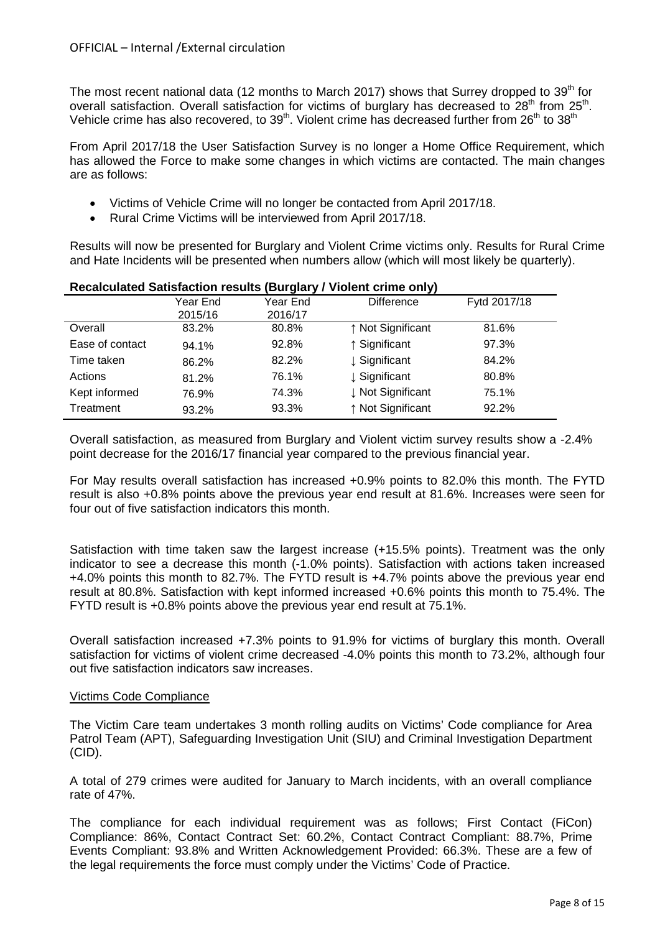The most recent national data (12 months to March 2017) shows that Surrey dropped to  $39<sup>th</sup>$  for overall satisfaction. Overall satisfaction for victims of burglary has decreased to  $28<sup>th</sup>$  from  $25<sup>th</sup>$ . Vehicle crime has also recovered, to  $39<sup>th</sup>$ . Violent crime has decreased further from 26<sup>th</sup> to  $38<sup>th</sup>$ 

From April 2017/18 the User Satisfaction Survey is no longer a Home Office Requirement, which has allowed the Force to make some changes in which victims are contacted. The main changes are as follows:

- Victims of Vehicle Crime will no longer be contacted from April 2017/18.
- Rural Crime Victims will be interviewed from April 2017/18.

Results will now be presented for Burglary and Violent Crime victims only. Results for Rural Crime and Hate Incidents will be presented when numbers allow (which will most likely be quarterly).

|                 | <u>Kecalculated Odlislaction results</u> (Durgially / Violent Chille Only) |          |                   |              |  |  |  |  |
|-----------------|----------------------------------------------------------------------------|----------|-------------------|--------------|--|--|--|--|
|                 | Year End                                                                   | Year End | <b>Difference</b> | Fytd 2017/18 |  |  |  |  |
|                 | 2015/16                                                                    | 2016/17  |                   |              |  |  |  |  |
| Overall         | 83.2%                                                                      | 80.8%    | ↑ Not Significant | 81.6%        |  |  |  |  |
| Ease of contact | 94.1%                                                                      | 92.8%    | ↑ Significant     | 97.3%        |  |  |  |  |
| Time taken      | 86.2%                                                                      | 82.2%    | ↓ Significant     | 84.2%        |  |  |  |  |
| Actions         | 81.2%                                                                      | 76.1%    | ↓ Significant     | 80.8%        |  |  |  |  |
| Kept informed   | 76.9%                                                                      | 74.3%    | ↓ Not Significant | 75.1%        |  |  |  |  |
| Treatment       | 93.2%                                                                      | 93.3%    | ↑ Not Significant | 92.2%        |  |  |  |  |

# **Recalculated Satisfaction results (Burglary / Violent crime only)**

Overall satisfaction, as measured from Burglary and Violent victim survey results show a -2.4% point decrease for the 2016/17 financial year compared to the previous financial year.

For May results overall satisfaction has increased +0.9% points to 82.0% this month. The FYTD result is also +0.8% points above the previous year end result at 81.6%. Increases were seen for four out of five satisfaction indicators this month.

Satisfaction with time taken saw the largest increase (+15.5% points). Treatment was the only indicator to see a decrease this month (-1.0% points). Satisfaction with actions taken increased +4.0% points this month to 82.7%. The FYTD result is +4.7% points above the previous year end result at 80.8%. Satisfaction with kept informed increased +0.6% points this month to 75.4%. The FYTD result is +0.8% points above the previous year end result at 75.1%.

Overall satisfaction increased +7.3% points to 91.9% for victims of burglary this month. Overall satisfaction for victims of violent crime decreased -4.0% points this month to 73.2%, although four out five satisfaction indicators saw increases.

# Victims Code Compliance

The Victim Care team undertakes 3 month rolling audits on Victims' Code compliance for Area Patrol Team (APT), Safeguarding Investigation Unit (SIU) and Criminal Investigation Department (CID).

A total of 279 crimes were audited for January to March incidents, with an overall compliance rate of 47%.

The compliance for each individual requirement was as follows; First Contact (FiCon) Compliance: 86%, Contact Contract Set: 60.2%, Contact Contract Compliant: 88.7%, Prime Events Compliant: 93.8% and Written Acknowledgement Provided: 66.3%. These are a few of the legal requirements the force must comply under the Victims' Code of Practice.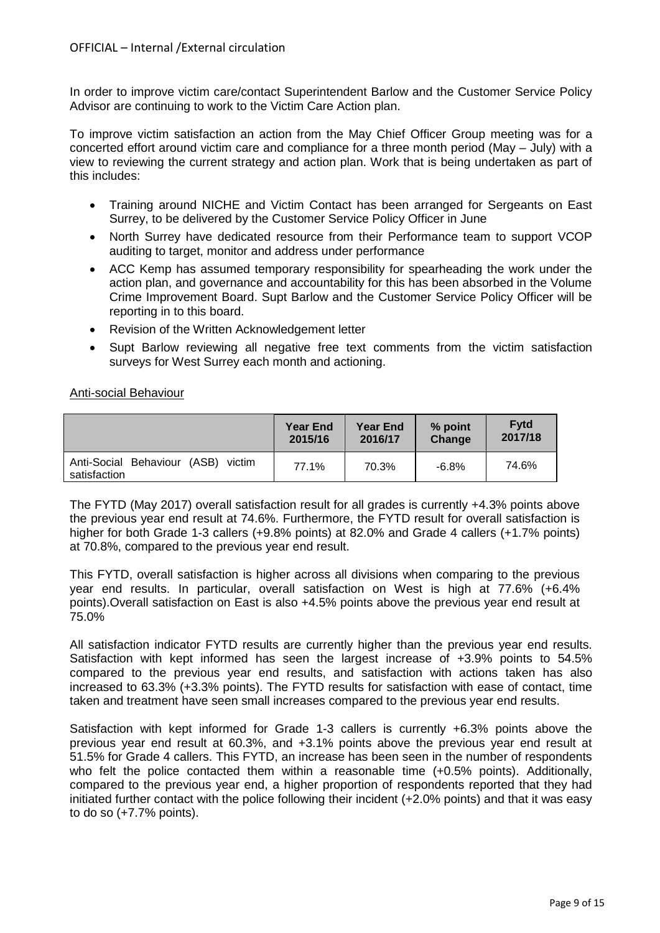In order to improve victim care/contact Superintendent Barlow and the Customer Service Policy Advisor are continuing to work to the Victim Care Action plan.

To improve victim satisfaction an action from the May Chief Officer Group meeting was for a concerted effort around victim care and compliance for a three month period (May – July) with a view to reviewing the current strategy and action plan. Work that is being undertaken as part of this includes:

- Training around NICHE and Victim Contact has been arranged for Sergeants on East Surrey, to be delivered by the Customer Service Policy Officer in June
- North Surrey have dedicated resource from their Performance team to support VCOP auditing to target, monitor and address under performance
- ACC Kemp has assumed temporary responsibility for spearheading the work under the action plan, and governance and accountability for this has been absorbed in the Volume Crime Improvement Board. Supt Barlow and the Customer Service Policy Officer will be reporting in to this board.
- Revision of the Written Acknowledgement letter
- Supt Barlow reviewing all negative free text comments from the victim satisfaction surveys for West Surrey each month and actioning.

# Anti-social Behaviour

|                                                          | <b>Year End</b> | <b>Year End</b> | % point | <b>Fytd</b> |
|----------------------------------------------------------|-----------------|-----------------|---------|-------------|
|                                                          | 2015/16         | 2016/17         | Change  | 2017/18     |
| (ASB)<br>Anti-Social Behaviour<br>victim<br>satisfaction | 77.1%           | 70.3%           | $-6.8%$ | 74.6%       |

The FYTD (May 2017) overall satisfaction result for all grades is currently +4.3% points above the previous year end result at 74.6%. Furthermore, the FYTD result for overall satisfaction is higher for both Grade 1-3 callers (+9.8% points) at 82.0% and Grade 4 callers (+1.7% points) at 70.8%, compared to the previous year end result.

This FYTD, overall satisfaction is higher across all divisions when comparing to the previous year end results. In particular, overall satisfaction on West is high at 77.6% (+6.4% points).Overall satisfaction on East is also +4.5% points above the previous year end result at 75.0%

All satisfaction indicator FYTD results are currently higher than the previous year end results. Satisfaction with kept informed has seen the largest increase of +3.9% points to 54.5% compared to the previous year end results, and satisfaction with actions taken has also increased to 63.3% (+3.3% points). The FYTD results for satisfaction with ease of contact, time taken and treatment have seen small increases compared to the previous year end results.

Satisfaction with kept informed for Grade 1-3 callers is currently +6.3% points above the previous year end result at 60.3%, and +3.1% points above the previous year end result at 51.5% for Grade 4 callers. This FYTD, an increase has been seen in the number of respondents who felt the police contacted them within a reasonable time  $(+0.5\%$  points). Additionally, compared to the previous year end, a higher proportion of respondents reported that they had initiated further contact with the police following their incident (+2.0% points) and that it was easy to do so  $(+7.7\%$  points).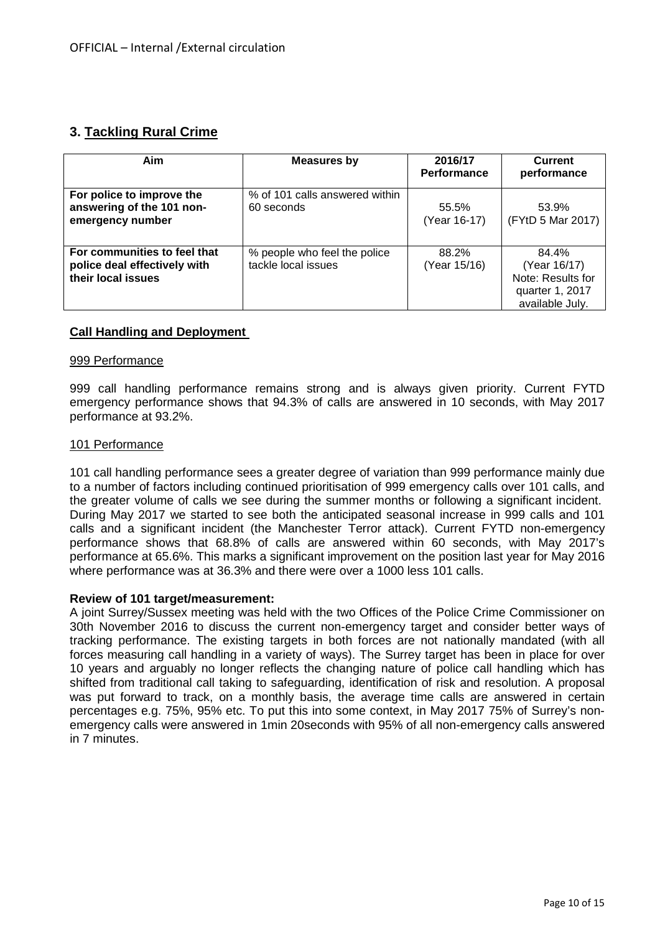# **3. Tackling Rural Crime**

| Aim                                                                                | <b>Measures by</b>                                  | 2016/17<br>Performance | <b>Current</b><br>performance                                                    |  |
|------------------------------------------------------------------------------------|-----------------------------------------------------|------------------------|----------------------------------------------------------------------------------|--|
| For police to improve the<br>answering of the 101 non-<br>emergency number         | % of 101 calls answered within<br>60 seconds        | 55.5%<br>(Year 16-17)  | 53.9%<br>(FYtD 5 Mar 2017)                                                       |  |
| For communities to feel that<br>police deal effectively with<br>their local issues | % people who feel the police<br>tackle local issues | 88.2%<br>(Year 15/16)  | 84.4%<br>(Year 16/17)<br>Note: Results for<br>quarter 1, 2017<br>available July. |  |

#### **Call Handling and Deployment**

#### 999 Performance

999 call handling performance remains strong and is always given priority. Current FYTD emergency performance shows that 94.3% of calls are answered in 10 seconds, with May 2017 performance at 93.2%.

#### 101 Performance

101 call handling performance sees a greater degree of variation than 999 performance mainly due to a number of factors including continued prioritisation of 999 emergency calls over 101 calls, and the greater volume of calls we see during the summer months or following a significant incident. During May 2017 we started to see both the anticipated seasonal increase in 999 calls and 101 calls and a significant incident (the Manchester Terror attack). Current FYTD non-emergency performance shows that 68.8% of calls are answered within 60 seconds, with May 2017's performance at 65.6%. This marks a significant improvement on the position last year for May 2016 where performance was at 36.3% and there were over a 1000 less 101 calls.

#### **Review of 101 target/measurement:**

A joint Surrey/Sussex meeting was held with the two Offices of the Police Crime Commissioner on 30th November 2016 to discuss the current non-emergency target and consider better ways of tracking performance. The existing targets in both forces are not nationally mandated (with all forces measuring call handling in a variety of ways). The Surrey target has been in place for over 10 years and arguably no longer reflects the changing nature of police call handling which has shifted from traditional call taking to safeguarding, identification of risk and resolution. A proposal was put forward to track, on a monthly basis, the average time calls are answered in certain percentages e.g. 75%, 95% etc. To put this into some context, in May 2017 75% of Surrey's nonemergency calls were answered in 1min 20seconds with 95% of all non-emergency calls answered in 7 minutes.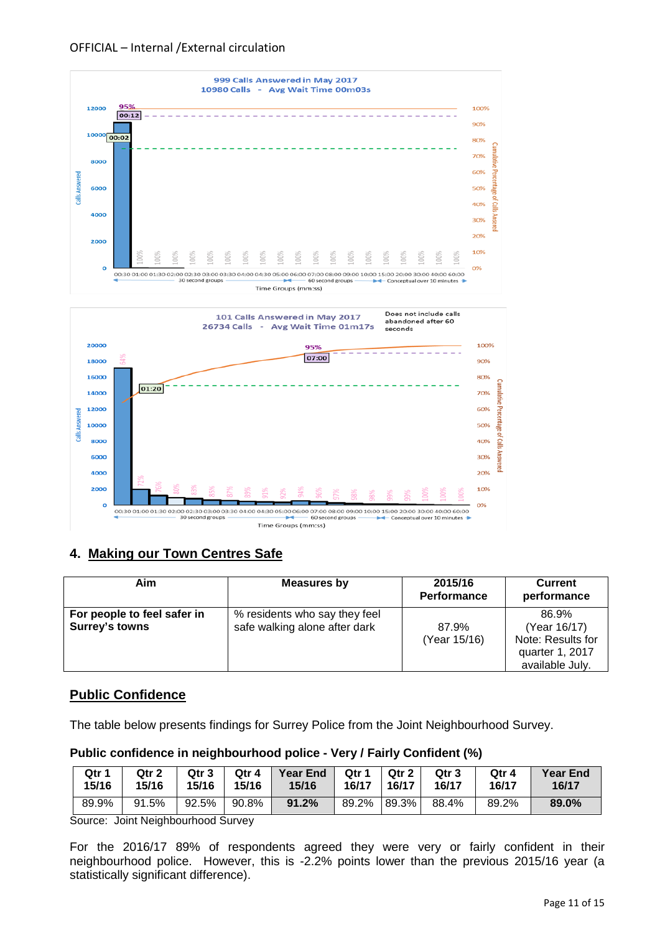



# **4. Making our Town Centres Safe**

| Aim                                                  | Measures by                                                    | 2015/16<br>Performance | Current<br>performance                                                           |
|------------------------------------------------------|----------------------------------------------------------------|------------------------|----------------------------------------------------------------------------------|
| For people to feel safer in<br><b>Surrey's towns</b> | % residents who say they feel<br>safe walking alone after dark | 87.9%<br>(Year 15/16)  | 86.9%<br>(Year 16/17)<br>Note: Results for<br>quarter 1, 2017<br>available July. |

# **Public Confidence**

The table below presents findings for Surrey Police from the Joint Neighbourhood Survey.

# **Public confidence in neighbourhood police - Very / Fairly Confident (%)**

| Qtr 1 | Qtr 2 | Qtr 3 | Qtr 4 | <b>Year End</b> | Otr 1 | Qtr 2 | Qtr 3 | Qtr 4 | <b>Year End</b> |
|-------|-------|-------|-------|-----------------|-------|-------|-------|-------|-----------------|
| 15/16 | 15/16 | 15/16 | 15/16 | 15/16           | 16/17 | 16/17 | 16/17 | 16/17 | 16/17           |
| 89.9% | 91.5% | 92.5% | 90.8% | 91.2%           | 89.2% | 89.3% | 88.4% | 89.2% |                 |

Source: Joint Neighbourhood Survey

For the 2016/17 89% of respondents agreed they were very or fairly confident in their neighbourhood police. However, this is -2.2% points lower than the previous 2015/16 year (a statistically significant difference).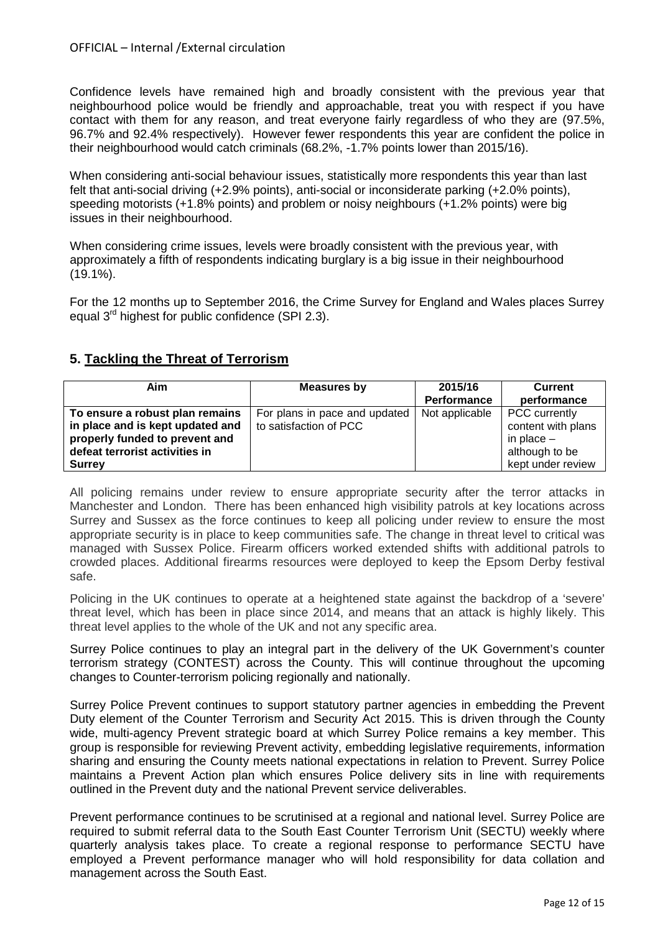Confidence levels have remained high and broadly consistent with the previous year that neighbourhood police would be friendly and approachable, treat you with respect if you have contact with them for any reason, and treat everyone fairly regardless of who they are (97.5%, 96.7% and 92.4% respectively). However fewer respondents this year are confident the police in their neighbourhood would catch criminals (68.2%, -1.7% points lower than 2015/16).

When considering anti-social behaviour issues, statistically more respondents this year than last felt that anti-social driving (+2.9% points), anti-social or inconsiderate parking (+2.0% points), speeding motorists (+1.8% points) and problem or noisy neighbours (+1.2% points) were big issues in their neighbourhood.

When considering crime issues, levels were broadly consistent with the previous year, with approximately a fifth of respondents indicating burglary is a big issue in their neighbourhood (19.1%).

For the 12 months up to September 2016, the Crime Survey for England and Wales places Surrey equal 3<sup>rd</sup> highest for public confidence (SPI 2.3).

# **5. Tackling the Threat of Terrorism**

| Aim                              | Measures by                   | 2015/16            | <b>Current</b>     |
|----------------------------------|-------------------------------|--------------------|--------------------|
|                                  |                               | <b>Performance</b> | performance        |
| To ensure a robust plan remains  | For plans in pace and updated | Not applicable     | PCC currently      |
| in place and is kept updated and | to satisfaction of PCC        |                    | content with plans |
| properly funded to prevent and   |                               |                    | in place $-$       |
| defeat terrorist activities in   |                               |                    | although to be     |
| <b>Surrey</b>                    |                               |                    | kept under review  |

All policing remains under review to ensure appropriate security after the terror attacks in Manchester and London. There has been enhanced high visibility patrols at key locations across Surrey and Sussex as the force continues to keep all policing under review to ensure the most appropriate security is in place to keep communities safe. The change in threat level to critical was managed with Sussex Police. Firearm officers worked extended shifts with additional patrols to crowded places. Additional firearms resources were deployed to keep the Epsom Derby festival safe.

Policing in the UK continues to operate at a heightened state against the backdrop of a 'severe' threat level, which has been in place since 2014, and means that an attack is highly likely. This threat level applies to the whole of the UK and not any specific area.

Surrey Police continues to play an integral part in the delivery of the UK Government's counter terrorism strategy (CONTEST) across the County. This will continue throughout the upcoming changes to Counter-terrorism policing regionally and nationally.

Surrey Police Prevent continues to support statutory partner agencies in embedding the Prevent Duty element of the Counter Terrorism and Security Act 2015. This is driven through the County wide, multi-agency Prevent strategic board at which Surrey Police remains a key member. This group is responsible for reviewing Prevent activity, embedding legislative requirements, information sharing and ensuring the County meets national expectations in relation to Prevent. Surrey Police maintains a Prevent Action plan which ensures Police delivery sits in line with requirements outlined in the Prevent duty and the national Prevent service deliverables.

Prevent performance continues to be scrutinised at a regional and national level. Surrey Police are required to submit referral data to the South East Counter Terrorism Unit (SECTU) weekly where quarterly analysis takes place. To create a regional response to performance SECTU have employed a Prevent performance manager who will hold responsibility for data collation and management across the South East.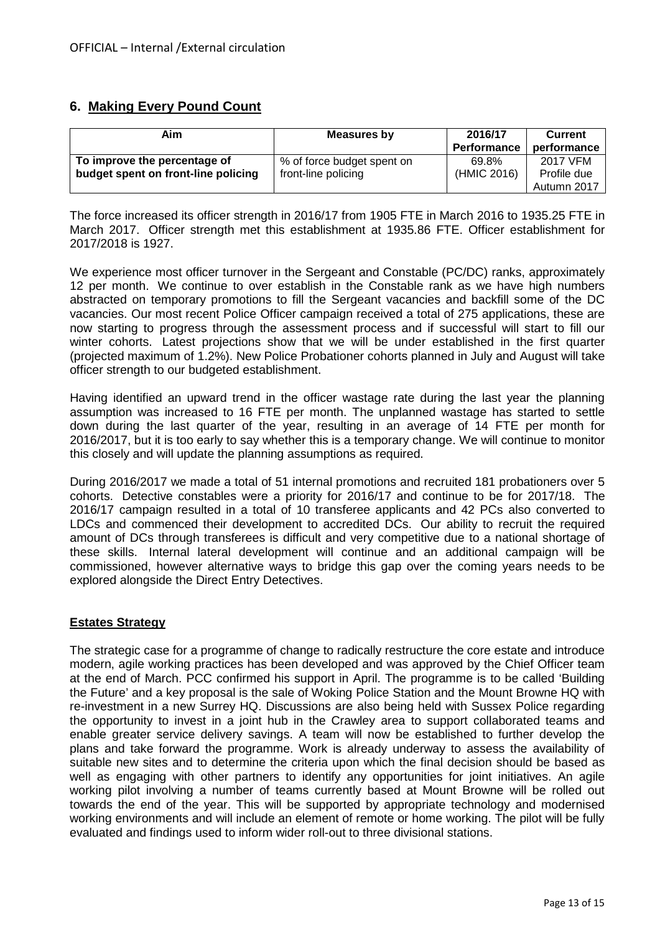# **6. Making Every Pound Count**

| Aim                                 | Measures by                | 2016/17<br><b>Performance</b> | <b>Current</b><br>performance |
|-------------------------------------|----------------------------|-------------------------------|-------------------------------|
| To improve the percentage of        | % of force budget spent on | 69.8%                         | 2017 VFM                      |
| budget spent on front-line policing | front-line policing        | (HMIC 2016)                   | Profile due                   |
|                                     |                            |                               | Autumn 2017                   |

The force increased its officer strength in 2016/17 from 1905 FTE in March 2016 to 1935.25 FTE in March 2017. Officer strength met this establishment at 1935.86 FTE. Officer establishment for 2017/2018 is 1927.

We experience most officer turnover in the Sergeant and Constable (PC/DC) ranks, approximately 12 per month. We continue to over establish in the Constable rank as we have high numbers abstracted on temporary promotions to fill the Sergeant vacancies and backfill some of the DC vacancies. Our most recent Police Officer campaign received a total of 275 applications, these are now starting to progress through the assessment process and if successful will start to fill our winter cohorts. Latest projections show that we will be under established in the first quarter (projected maximum of 1.2%). New Police Probationer cohorts planned in July and August will take officer strength to our budgeted establishment.

Having identified an upward trend in the officer wastage rate during the last year the planning assumption was increased to 16 FTE per month. The unplanned wastage has started to settle down during the last quarter of the year, resulting in an average of 14 FTE per month for 2016/2017, but it is too early to say whether this is a temporary change. We will continue to monitor this closely and will update the planning assumptions as required.

During 2016/2017 we made a total of 51 internal promotions and recruited 181 probationers over 5 cohorts. Detective constables were a priority for 2016/17 and continue to be for 2017/18. The 2016/17 campaign resulted in a total of 10 transferee applicants and 42 PCs also converted to LDCs and commenced their development to accredited DCs. Our ability to recruit the required amount of DCs through transferees is difficult and very competitive due to a national shortage of these skills. Internal lateral development will continue and an additional campaign will be commissioned, however alternative ways to bridge this gap over the coming years needs to be explored alongside the Direct Entry Detectives.

# **Estates Strategy**

The strategic case for a programme of change to radically restructure the core estate and introduce modern, agile working practices has been developed and was approved by the Chief Officer team at the end of March. PCC confirmed his support in April. The programme is to be called 'Building the Future' and a key proposal is the sale of Woking Police Station and the Mount Browne HQ with re-investment in a new Surrey HQ. Discussions are also being held with Sussex Police regarding the opportunity to invest in a joint hub in the Crawley area to support collaborated teams and enable greater service delivery savings. A team will now be established to further develop the plans and take forward the programme. Work is already underway to assess the availability of suitable new sites and to determine the criteria upon which the final decision should be based as well as engaging with other partners to identify any opportunities for joint initiatives. An agile working pilot involving a number of teams currently based at Mount Browne will be rolled out towards the end of the year. This will be supported by appropriate technology and modernised working environments and will include an element of remote or home working. The pilot will be fully evaluated and findings used to inform wider roll-out to three divisional stations.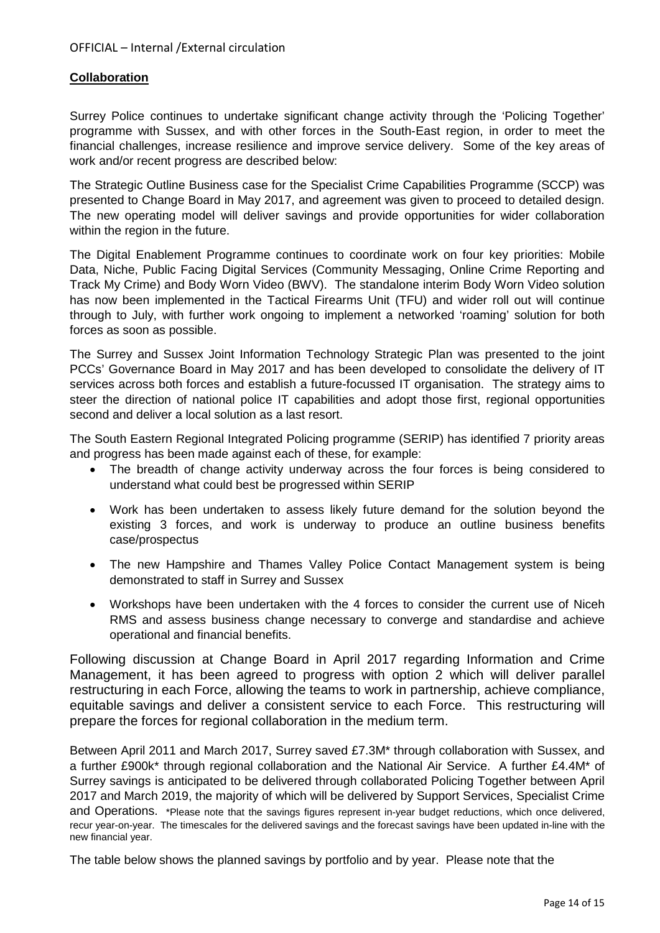# **Collaboration**

Surrey Police continues to undertake significant change activity through the 'Policing Together' programme with Sussex, and with other forces in the South-East region, in order to meet the financial challenges, increase resilience and improve service delivery. Some of the key areas of work and/or recent progress are described below:

The Strategic Outline Business case for the Specialist Crime Capabilities Programme (SCCP) was presented to Change Board in May 2017, and agreement was given to proceed to detailed design. The new operating model will deliver savings and provide opportunities for wider collaboration within the region in the future.

The Digital Enablement Programme continues to coordinate work on four key priorities: Mobile Data, Niche, Public Facing Digital Services (Community Messaging, Online Crime Reporting and Track My Crime) and Body Worn Video (BWV). The standalone interim Body Worn Video solution has now been implemented in the Tactical Firearms Unit (TFU) and wider roll out will continue through to July, with further work ongoing to implement a networked 'roaming' solution for both forces as soon as possible.

The Surrey and Sussex Joint Information Technology Strategic Plan was presented to the joint PCCs' Governance Board in May 2017 and has been developed to consolidate the delivery of IT services across both forces and establish a future-focussed IT organisation. The strategy aims to steer the direction of national police IT capabilities and adopt those first, regional opportunities second and deliver a local solution as a last resort.

The South Eastern Regional Integrated Policing programme (SERIP) has identified 7 priority areas and progress has been made against each of these, for example:

- The breadth of change activity underway across the four forces is being considered to understand what could best be progressed within SERIP
- Work has been undertaken to assess likely future demand for the solution beyond the existing 3 forces, and work is underway to produce an outline business benefits case/prospectus
- The new Hampshire and Thames Valley Police Contact Management system is being demonstrated to staff in Surrey and Sussex
- Workshops have been undertaken with the 4 forces to consider the current use of Niceh RMS and assess business change necessary to converge and standardise and achieve operational and financial benefits.

Following discussion at Change Board in April 2017 regarding Information and Crime Management, it has been agreed to progress with option 2 which will deliver parallel restructuring in each Force, allowing the teams to work in partnership, achieve compliance, equitable savings and deliver a consistent service to each Force. This restructuring will prepare the forces for regional collaboration in the medium term.

Between April 2011 and March 2017, Surrey saved £7.3M\* through collaboration with Sussex, and a further £900k\* through regional collaboration and the National Air Service. A further £4.4M\* of Surrey savings is anticipated to be delivered through collaborated Policing Together between April 2017 and March 2019, the majority of which will be delivered by Support Services, Specialist Crime and Operations. \*Please note that the savings figures represent in-year budget reductions, which once delivered, recur year-on-year. The timescales for the delivered savings and the forecast savings have been updated in-line with the new financial year.

The table below shows the planned savings by portfolio and by year. Please note that the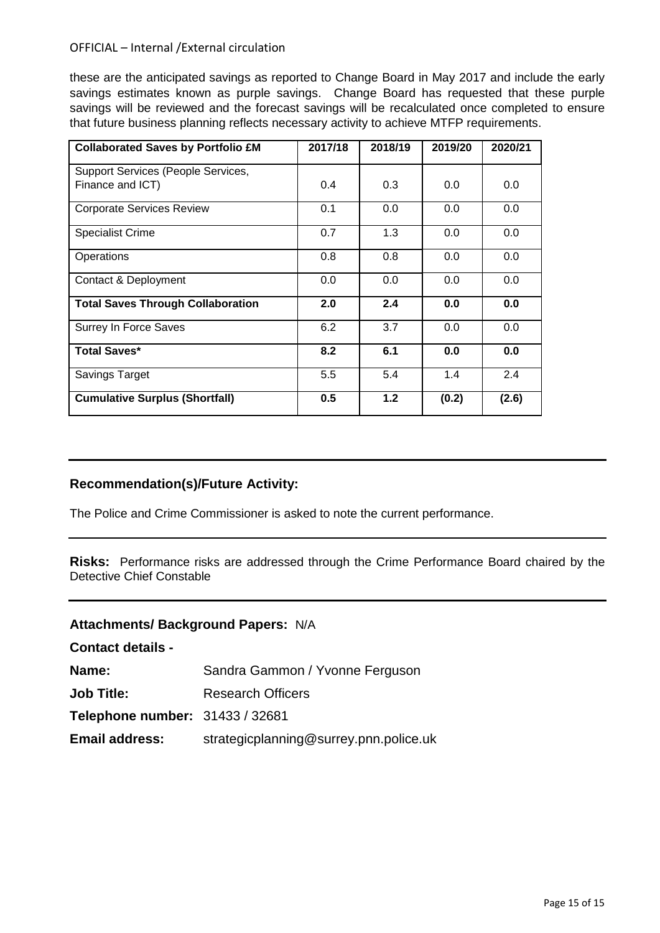these are the anticipated savings as reported to Change Board in May 2017 and include the early savings estimates known as purple savings. Change Board has requested that these purple savings will be reviewed and the forecast savings will be recalculated once completed to ensure that future business planning reflects necessary activity to achieve MTFP requirements.

| <b>Collaborated Saves by Portfolio £M</b> | 2017/18 | 2018/19 | 2019/20 | 2020/21 |
|-------------------------------------------|---------|---------|---------|---------|
| Support Services (People Services,        |         |         |         |         |
| Finance and ICT)                          | 0.4     | 0.3     | 0.0     | 0.0     |
| <b>Corporate Services Review</b>          | 0.1     | 0.0     | 0.0     | 0.0     |
| <b>Specialist Crime</b>                   | 0.7     | 1.3     | 0.0     | 0.0     |
| Operations                                | 0.8     | 0.8     | 0.0     | 0.0     |
| Contact & Deployment                      | 0.0     | 0.0     | 0.0     | 0.0     |
| <b>Total Saves Through Collaboration</b>  | 2.0     | 2.4     | 0.0     | 0.0     |
| Surrey In Force Saves                     | 6.2     | 3.7     | 0.0     | 0.0     |
| <b>Total Saves*</b>                       | 8.2     | 6.1     | 0.0     | 0.0     |
| Savings Target                            | 5.5     | 5.4     | 1.4     | 2.4     |
| <b>Cumulative Surplus (Shortfall)</b>     | 0.5     | 1.2     | (0.2)   | (2.6)   |

# **Recommendation(s)/Future Activity:**

The Police and Crime Commissioner is asked to note the current performance.

**Risks:** Performance risks are addressed through the Crime Performance Board chaired by the Detective Chief Constable

# **Attachments/ Background Papers:** N/A

| <b>Contact details -</b>        |                                        |
|---------------------------------|----------------------------------------|
| <b>Name:</b>                    | Sandra Gammon / Yvonne Ferguson        |
| Job Title:                      | <b>Research Officers</b>               |
| Telephone number: 31433 / 32681 |                                        |
| <b>Email address:</b>           | strategicplanning@surrey.pnn.police.uk |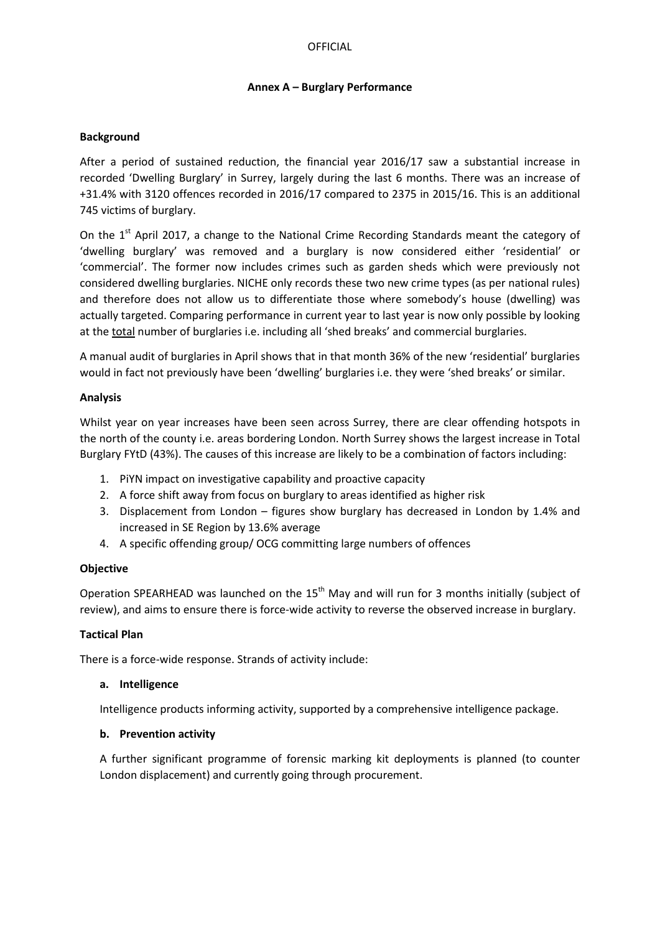#### **Annex A – Burglary Performance**

#### **Background**

After a period of sustained reduction, the financial year 2016/17 saw a substantial increase in recorded 'Dwelling Burglary' in Surrey, largely during the last 6 months. There was an increase of +31.4% with 3120 offences recorded in 2016/17 compared to 2375 in 2015/16. This is an additional 745 victims of burglary.

On the 1<sup>st</sup> April 2017, a change to the National Crime Recording Standards meant the category of 'dwelling burglary' was removed and a burglary is now considered either 'residential' or 'commercial'. The former now includes crimes such as garden sheds which were previously not considered dwelling burglaries. NICHE only records these two new crime types (as per national rules) and therefore does not allow us to differentiate those where somebody's house (dwelling) was actually targeted. Comparing performance in current year to last year is now only possible by looking at the total number of burglaries i.e. including all 'shed breaks' and commercial burglaries.

A manual audit of burglaries in April shows that in that month 36% of the new 'residential' burglaries would in fact not previously have been 'dwelling' burglaries i.e. they were 'shed breaks' or similar.

#### **Analysis**

Whilst year on year increases have been seen across Surrey, there are clear offending hotspots in the north of the county i.e. areas bordering London. North Surrey shows the largest increase in Total Burglary FYtD (43%). The causes of this increase are likely to be a combination of factors including:

- 1. PiYN impact on investigative capability and proactive capacity
- 2. A force shift away from focus on burglary to areas identified as higher risk
- 3. Displacement from London figures show burglary has decreased in London by 1.4% and increased in SE Region by 13.6% average
- 4. A specific offending group/ OCG committing large numbers of offences

#### **Objective**

Operation SPEARHEAD was launched on the 15<sup>th</sup> May and will run for 3 months initially (subject of review), and aims to ensure there is force-wide activity to reverse the observed increase in burglary.

#### **Tactical Plan**

There is a force-wide response. Strands of activity include:

#### **a. Intelligence**

Intelligence products informing activity, supported by a comprehensive intelligence package.

#### **b. Prevention activity**

A further significant programme of forensic marking kit deployments is planned (to counter London displacement) and currently going through procurement.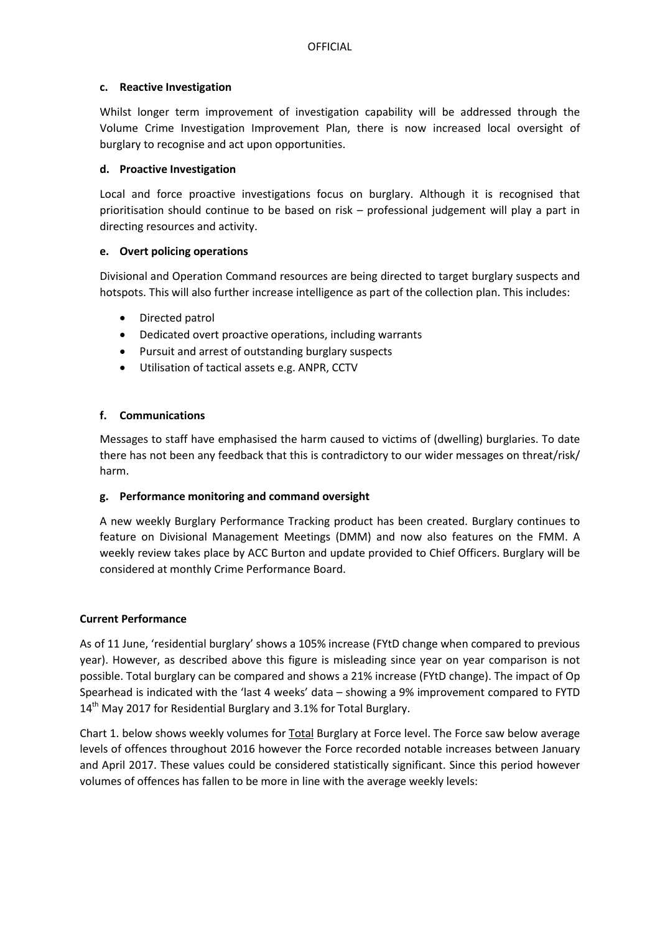#### **c. Reactive Investigation**

Whilst longer term improvement of investigation capability will be addressed through the Volume Crime Investigation Improvement Plan, there is now increased local oversight of burglary to recognise and act upon opportunities.

#### **d. Proactive Investigation**

Local and force proactive investigations focus on burglary. Although it is recognised that prioritisation should continue to be based on risk – professional judgement will play a part in directing resources and activity.

# **e. Overt policing operations**

Divisional and Operation Command resources are being directed to target burglary suspects and hotspots. This will also further increase intelligence as part of the collection plan. This includes:

- Directed patrol
- Dedicated overt proactive operations, including warrants
- Pursuit and arrest of outstanding burglary suspects
- Utilisation of tactical assets e.g. ANPR, CCTV

# **f. Communications**

Messages to staff have emphasised the harm caused to victims of (dwelling) burglaries. To date there has not been any feedback that this is contradictory to our wider messages on threat/risk/ harm.

# **g. Performance monitoring and command oversight**

A new weekly Burglary Performance Tracking product has been created. Burglary continues to feature on Divisional Management Meetings (DMM) and now also features on the FMM. A weekly review takes place by ACC Burton and update provided to Chief Officers. Burglary will be considered at monthly Crime Performance Board.

#### **Current Performance**

As of 11 June, 'residential burglary' shows a 105% increase (FYtD change when compared to previous year). However, as described above this figure is misleading since year on year comparison is not possible. Total burglary can be compared and shows a 21% increase (FYtD change). The impact of Op Spearhead is indicated with the 'last 4 weeks' data – showing a 9% improvement compared to FYTD 14<sup>th</sup> May 2017 for Residential Burglary and 3.1% for Total Burglary.

Chart 1. below shows weekly volumes for Total Burglary at Force level. The Force saw below average levels of offences throughout 2016 however the Force recorded notable increases between January and April 2017. These values could be considered statistically significant. Since this period however volumes of offences has fallen to be more in line with the average weekly levels: